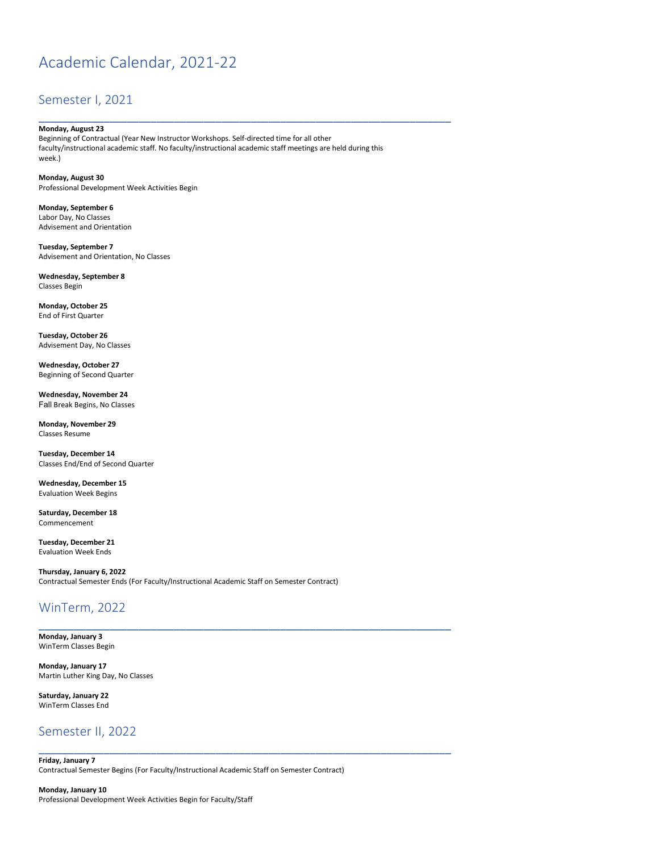# Academic Calendar, 2021-22

#### Semester I, 2021

#### **Monday, August 23**

Beginning of Contractual (Year New Instructor Workshops. Self-directed time for all other faculty/instructional academic staff. No faculty/instructional academic staff meetings are held during this week.)

\_\_\_\_\_\_\_\_\_\_\_\_\_\_\_\_\_\_\_\_\_\_\_\_\_\_\_\_\_\_\_\_\_\_\_\_\_\_\_\_\_\_\_\_\_\_\_\_\_\_\_\_\_\_\_\_\_\_\_\_\_\_\_\_\_\_\_\_\_\_

**Monday, August 30** Professional Development Week Activities Begin

**Monday, September 6** Labor Day, No Classes Advisement and Orientation

**Tuesday, September 7** Advisement and Orientation, No Classes

**Wednesday, September 8** Classes Begin

**Monday, October 25**  End of First Quarter

**Tuesday, October 26**  Advisement Day, No Classes

**Wednesday, October 27**  Beginning of Second Quarter

**Wednesday, November 24**  Fall Break Begins, No Classes

**Monday, November 29**  Classes Resume

**Tuesday, December 14**  Classes End/End of Second Quarter

**Wednesday, December 15**  Evaluation Week Begins

**Saturday, December 18**  Commencement

**Tuesday, December 21** Evaluation Week Ends

**Thursday, January 6, 2022** Contractual Semester Ends (For Faculty/Instructional Academic Staff on Semester Contract)

\_\_\_\_\_\_\_\_\_\_\_\_\_\_\_\_\_\_\_\_\_\_\_\_\_\_\_\_\_\_\_\_\_\_\_\_\_\_\_\_\_\_\_\_\_\_\_\_\_\_\_\_\_\_\_\_\_\_\_\_\_\_\_\_\_\_\_\_\_\_

\_\_\_\_\_\_\_\_\_\_\_\_\_\_\_\_\_\_\_\_\_\_\_\_\_\_\_\_\_\_\_\_\_\_\_\_\_\_\_\_\_\_\_\_\_\_\_\_\_\_\_\_\_\_\_\_\_\_\_\_\_\_\_\_\_\_\_\_\_\_

# WinTerm, 2022

**Monday, January 3** WinTerm Classes Begin

**Monday, January 17** Martin Luther King Day, No Classes

**Saturday, January 22** WinTerm Classes End

### Semester II, 2022

**Friday, January 7** Contractual Semester Begins (For Faculty/Instructional Academic Staff on Semester Contract)

**Monday, January 10** Professional Development Week Activities Begin for Faculty/Staff